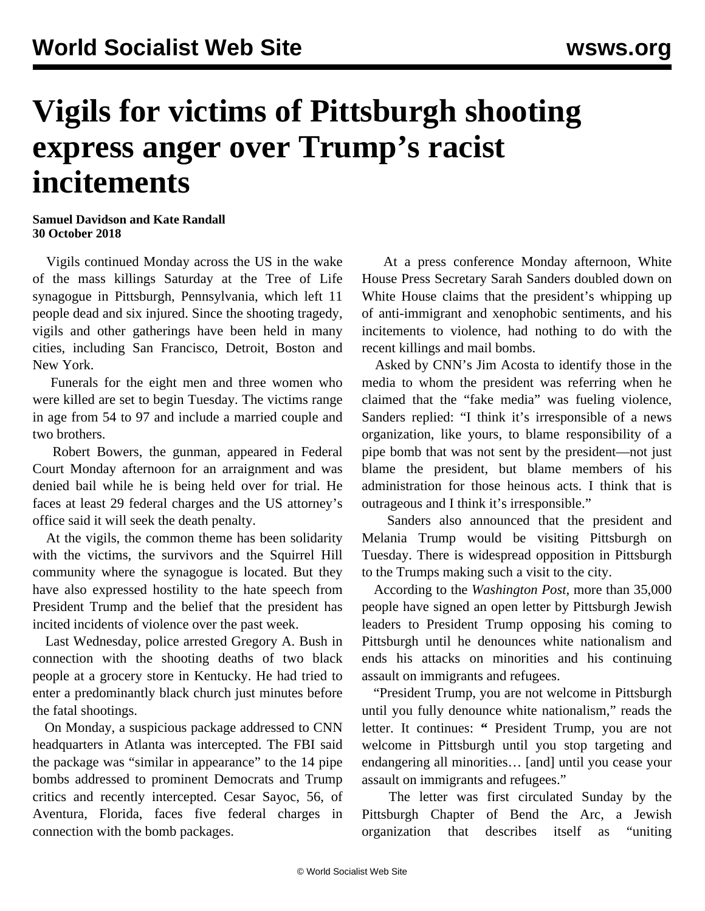## **Vigils for victims of Pittsburgh shooting express anger over Trump's racist incitements**

## **Samuel Davidson and Kate Randall 30 October 2018**

 Vigils continued Monday across the US in the wake of the mass killings Saturday at the Tree of Life synagogue in Pittsburgh, Pennsylvania, which left 11 people dead and six injured. Since the shooting tragedy, vigils and other gatherings have been held in many cities, including San Francisco, Detroit, Boston and New York.

 Funerals for the eight men and three women who were killed are set to begin Tuesday. The victims range in age from 54 to 97 and include a married couple and two brothers.

 Robert Bowers, the gunman, appeared in Federal Court Monday afternoon for an arraignment and was denied bail while he is being held over for trial. He faces at least 29 federal charges and the US attorney's office said it will seek the death penalty.

 At the vigils, the common theme has been solidarity with the victims, the survivors and the Squirrel Hill community where the synagogue is located. But they have also expressed hostility to the hate speech from President Trump and the belief that the president has incited incidents of violence over the past week.

 Last Wednesday, police arrested Gregory A. Bush in connection with the shooting deaths of two black people at a grocery store in Kentucky. He had tried to enter a predominantly black church just minutes before the fatal shootings.

 On Monday, a suspicious package addressed to CNN headquarters in Atlanta was intercepted. The FBI said the package was "similar in appearance" to the 14 pipe bombs addressed to prominent Democrats and Trump critics and recently intercepted. Cesar Sayoc, 56, of Aventura, Florida, faces five federal charges in connection with the bomb packages.

 At a press conference Monday afternoon, White House Press Secretary Sarah Sanders doubled down on White House claims that the president's whipping up of anti-immigrant and xenophobic sentiments, and his incitements to violence, had nothing to do with the recent killings and mail bombs.

 Asked by CNN's Jim Acosta to identify those in the media to whom the president was referring when he claimed that the "fake media" was fueling violence, Sanders replied: "I think it's irresponsible of a news organization, like yours, to blame responsibility of a pipe bomb that was not sent by the president—not just blame the president, but blame members of his administration for those heinous acts. I think that is outrageous and I think it's irresponsible."

 Sanders also announced that the president and Melania Trump would be visiting Pittsburgh on Tuesday. There is widespread opposition in Pittsburgh to the Trumps making such a visit to the city.

 According to the *Washington Post*, more than 35,000 people have signed an open letter by Pittsburgh Jewish leaders to President Trump opposing his coming to Pittsburgh until he denounces white nationalism and ends his attacks on minorities and his continuing assault on immigrants and refugees.

 "President Trump, you are not welcome in Pittsburgh until you fully denounce white nationalism," reads the letter. It continues: **"** President Trump, you are not welcome in Pittsburgh until you stop targeting and endangering all minorities… [and] until you cease your assault on immigrants and refugees."

 The letter was first circulated Sunday by the Pittsburgh Chapter of Bend the Arc, a Jewish organization that describes itself as "uniting